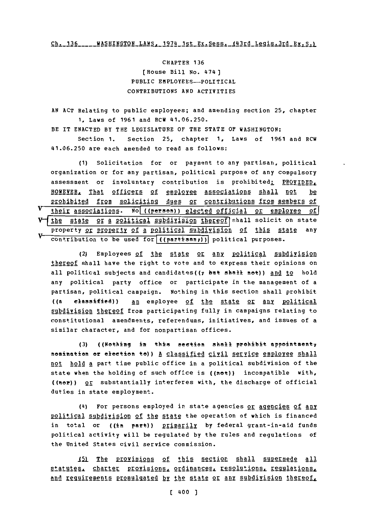Ch. 136 \_\_\_\_ WASHINGTON\_LAWS. 1974 1st Ex. Sess. 143rd Legis.3rd Ex. S.1

CHAPTER **136** [House Bill **No.** 474) PUBLIC EMPLOYEES-POLITICAL CONTRIBUTIONS **AND** ACTIVITIES

**AN ACT** Relating to public employees; and amending section **25,** chapter **1,** Laws of **1961** and RCW 41.06.250.

BE IT **ENACTED** BY THE LEGISLATURE OF THE **STATE OF** WASHINGTON:

Section **1.** Section **25,** chapter **1,** Laws of **1961** and RCW 41.06.250 are each amended to read as follows:

**(1)** Solicitation for or payment to any partisan, political organization or for any partisan, political purpose of any compulsory assessment or involuntary contribution is prohibited: PROVIDED, HONEYER, That officers of employee associations shall not be p ro hibited from soliciting dues or contributions from members of Vtheir associations. **No** (pe en) elected official **or** employee of] fibe state or a political subdivision thereof shall solicit on state property or property of a political subdivision of this state any contribution to be used for ((partisan<sub>*I*</sub>))</sub> political purposes.

(2) Employees of the state or any political subdivision thereof shall have the right to vote and to express their opinions on all political subjects and candidates((7 but shall not)) and to hold any political party office or participate in the management of a partisan, political campaign. Nothing in this section shall prohibit ((a classified)) an employee of the state or any political subdivision thereof from participating fully in campaigns relating to constitutional amendments, referendums, initiatives, and issues of a similar character, and for nonpartisan offices.

**(3)** ((Nothing in this section shall prohibit appointment-; nomination or election to)) <u>A classified civil service employee shall</u> not hold **A** part time public office in a political subdivision of the state when the holding of such office is ((not)) incompatible with, ((ner)) or substantially interferes with, the discharge of official duties in state employment.

(4) For persons employed in state agencies or agencies of any political subdivision of the state the operation of which is financed in total or ((in part)) primarily by federal grant-in-aid funds political activity will be regulated **by** the rules and regulations of the United States civil service commission.

15) The provisions of this section shall supersede all statutes. charter provisions, ordinances, resolutions, regulations, and reguirements promulgated by the state or any subdivision thereof,